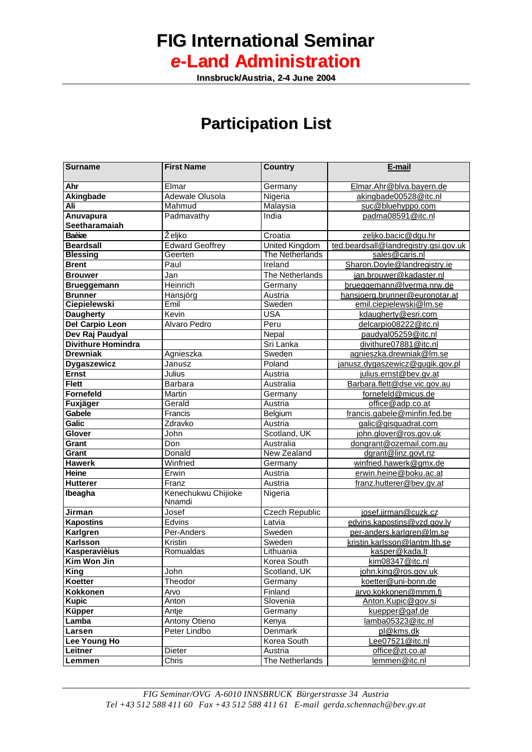## **FIG International Seminar** *e***-Land Administration**

**IInnsbruck/Austriia,, 2-4 June 2004**

## **Participation List**

| <b>Surname</b>             | <b>First Name</b>             | <b>Country</b>         | E-mail                                |
|----------------------------|-------------------------------|------------------------|---------------------------------------|
| Ahr                        | Elmar                         | Germany                | Elmar.Ahr@blva.bayern.de              |
| Akingbade                  | Adewale Olusola               | Nigeria                | akingbade00528@itc.nl                 |
| Ali                        | Mahmud                        | Malaysia               | suc@bluehyppo.com                     |
| Anuvapura<br>Seetharamaiah | Padmavathy                    | India                  | padma08591@itc.nl                     |
| Baèiæ                      | Željko                        | Croatia                | zeljko.bacic@dqu.hr                   |
| <b>Beardsall</b>           | <b>Edward Geoffrey</b>        | United Kingdom         | ted.beardsall@landregistry.gsi.gov.uk |
| <b>Blessing</b>            | Geerten                       | <b>The Netherlands</b> | sales@caris.nl                        |
| <b>Brent</b>               | Paul                          | Ireland                | Sharon.Doyle@landregistry.ie          |
| <b>Brouwer</b>             | Jan                           | The Netherlands        | jan.brouwer@kadaster.nl               |
| <b>Brueggemann</b>         | Heinrich                      | Germany                | brueggemann@lverma.nrw.de             |
| <b>Brunner</b>             | Hansjörg                      | Austria                | hansjoerg.brunner@euronotar.at        |
| <b>Ciepielewski</b>        | Emil                          | Sweden                 | emil.ciepielewski@lm.se               |
| <b>Daugherty</b>           | Kevin                         | <b>USA</b>             | kdaugherty@esri.com                   |
| Del Carpio Leon            | <b>Alvaro Pedro</b>           | Peru                   | delcarpio08222@itc.nl                 |
| Dev Raj Paudyal            |                               | Nepal                  | paudyal05259@itc.nl                   |
| <b>Divithure Homindra</b>  |                               | Sri Lanka              | divithure07881@itc.nl                 |
| <b>Drewniak</b>            | Agnieszka                     | Sweden                 | agnieszka.drewniak@lm.se              |
| Dygaszewicz                | Janusz                        | Poland                 | janusz.dygaszewicz@gugik.gov.pl       |
| <b>Ernst</b>               | Julius                        | Austria                | julius.ernst@bev.gv.at                |
| <b>Flett</b>               | <b>Barbara</b>                | Australia              | Barbara.flett@dse.vic.gov.au          |
| <b>Fornefeld</b>           | Martin                        | Germany                | fornefeld@micus.de                    |
| <b>Fuxjäger</b>            | Gerald                        | Austria                | office@adp.co.at                      |
| Gabele                     | Francis                       | Belgium                | francis.gabele@minfin.fed.be          |
| <b>Galic</b>               | Zdravko                       | Austria                | galic@gisquadrat.com                  |
| Glover                     | John                          | Scotland, UK           | john.glover@ros.gov.uk                |
| Grant                      | Don                           | Australia              | dongrant@ozemail.com.au               |
| Grant                      | Donald                        | <b>New Zealand</b>     | dgrant@linz.govt.nz                   |
| <b>Hawerk</b>              | Winfried                      | Germany                | winfried.hawerk@gmx.de                |
| <b>Heine</b>               | Erwin                         | Austria                | erwin.heine@boku.ac.at                |
| <b>Hutterer</b>            | Franz                         | Austria                | franz.hutterer@bev.gv.at              |
| Ibeagha                    | Kenechukwu Chijioke<br>Nnamdi | Nigeria                |                                       |
| Jirman                     | Josef                         | <b>Czech Republic</b>  | josef.jirman@cuzk.cz                  |
| <b>Kapostins</b>           | Edvins                        | Latvia                 | edvins.kapostins@vzd.gov.lv           |
| Karlgren                   | Per-Anders                    | Sweden                 | per-anders.karlgren@lm.se             |
| Karlsson                   | Kristin                       | Sweden                 | kristin.karlsson@lantm.lth.se         |
| <b>Kasperavièius</b>       | Romualdas                     | Lithuania              | kasper@kada.lt                        |
| Kim Won Jin                |                               | Korea South            | <u>kim08347@itc.nl</u>                |
| <b>King</b>                | John                          | Scotland, UK           | <u>john.king@ros.gov.uk</u>           |
| Koetter                    | Theodor                       | Germany                | koetter@uni-bonn.de                   |
| <b>Kokkonen</b>            | Arvo                          | Finland                | arvo.kokkonen@mmm.fi                  |
| <b>Kupic</b>               | Anton                         | Slovenia               | Anton.Kupic@gov.si                    |
| Küpper                     | Antje                         | Germany                | kuepper@gaf.de                        |
| Lamba                      | Antony Otieno                 | Kenya                  | lamba05323@itc.nl                     |
| Larsen                     | Peter Lindbo                  | Denmark                | pl@kms.dk                             |
| Lee Young Ho               |                               | Korea South            | Lee07521@itc.nl                       |
| Leitner                    | Dieter                        | Austria                | office@zt.co.at                       |
| Lemmen                     | Chris                         | The Netherlands        | lemmen@itc.nl                         |